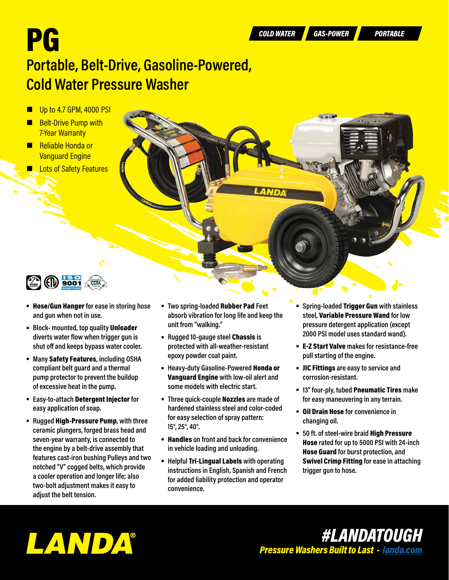## PG *COLD WATER GAS-POWER PORTABLE* **Portable, Belt-Drive, Gasoline-Powered, Cold Water Pressure Washer**

- Up to 4.7 GPM, 4000 PSI
- **Belt-Drive Pump with** 7-Year Warranty
- Reliable Honda or Vanguard Engine
- **Lots of Safety Features**



- Hose/Gun Hanger **for ease in storing hose and gun when not in use.**
- **Block-** mounted, top quality **Unloader diverts water flow when trigger gun is shut off and keeps bypass water cooler.**
- **Many** Safety Features**, including OSHA compliant belt guard and a thermal pump protector to prevent the buildup of excessive heat in the pump.**
- **Easy-to-attach** Detergent Injector **for easy application of soap.**
- **Rugged** High-Pressure Pump**, with three ceramic plungers, forged brass head and seven-year warranty, is connected to the engine by a belt-drive assembly that features cast-iron bushing Pulleys and two notched "V" cogged belts, which provide a cooler operation and longer life; also two-bolt adjustment makes it easy to adjust the belt tension.**
- **Two spring-loaded** Rubber Pad **Feet absorb vibration for long life and keep the unit from "walking."**
- **Rugged 10-gauge steel** Chassis **is protected with all-weather-resistant epoxy powder coat paint.**
- **Heavy-duty Gasoline-Powered Honda or** Vanguard Engine **with low-oil alert and some models with electric start.**
- **Three quick-couple** Nozzles **are made of hardened stainless steel and color-coded for easy selection of spray pattern: 15°, 25°, 40°.**
- Handles **on front and back for convenience in vehicle loading and unloading.**
- **Helpful** Tri-Lingual Labels **with operating instructions in English, Spanish and French for added liability protection and operator convenience.**
- **Spring-loaded** Trigger Gun **with stainless steel,** Variable Pressure Wand **for low pressure detergent application (except 2000 PSI model uses standard wand).**
- E-Z Start Valve **makes for resistance-free pull starting of the engine.**
- JIC Fittings **are easy to service and corrosion-resistant.**
- **13" four-ply, tubed** Pneumatic Tires **make for easy maneuvering in any terrain.**
- Oil Drain Hose **for convenience in changing oil.**
- **50 ft. of steel-wire braid** High Pressure Hose **rated for up to 5000 PSI with 24-inch**  Hose Guard **for burst protection, and**  Swivel Crimp Fitting **for ease in attaching trigger gun to hose.**